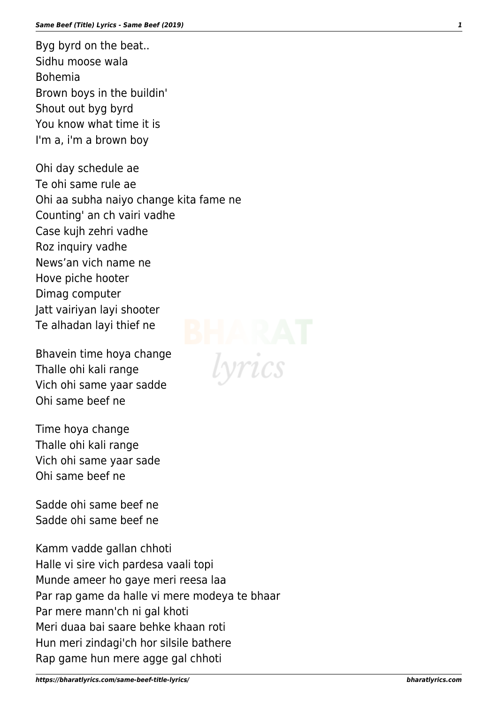Byg byrd on the beat.. Sidhu moose wala Bohemia Brown boys in the buildin' Shout out byg byrd You know what time it is I'm a, i'm a brown boy

Ohi day schedule ae Te ohi same rule ae Ohi aa subha naiyo change kita fame ne Counting' an ch vairi vadhe Case kujh zehri vadhe Roz inquiry vadhe News'an vich name ne Hove piche hooter Dimag computer Jatt vairiyan layi shooter Te alhadan layi thief ne

Bhavein time hoya change Thalle ohi kali range Vich ohi same yaar sadde Ohi same beef ne

Time hoya change Thalle ohi kali range Vich ohi same yaar sade Ohi same beef ne

Sadde ohi same beef ne Sadde ohi same beef ne

Kamm vadde gallan chhoti Halle vi sire vich pardesa vaali topi Munde ameer ho gaye meri reesa laa Par rap game da halle vi mere modeya te bhaar Par mere mann'ch ni gal khoti Meri duaa bai saare behke khaan roti Hun meri zindagi'ch hor silsile bathere Rap game hun mere agge gal chhoti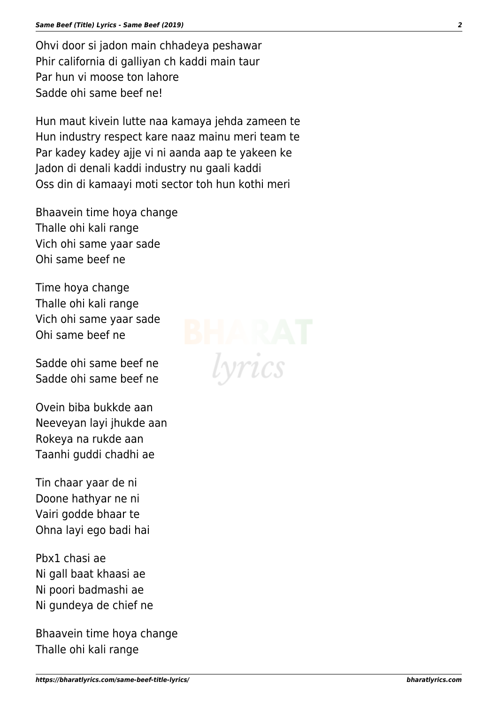Ohvi door si jadon main chhadeya peshawar Phir california di galliyan ch kaddi main taur Par hun vi moose ton lahore Sadde ohi same beef ne!

Hun maut kivein lutte naa kamaya jehda zameen te Hun industry respect kare naaz mainu meri team te Par kadey kadey ajje vi ni aanda aap te yakeen ke Jadon di denali kaddi industry nu gaali kaddi Oss din di kamaayi moti sector toh hun kothi meri

Bhaavein time hoya change Thalle ohi kali range Vich ohi same yaar sade Ohi same beef ne

Time hoya change Thalle ohi kali range Vich ohi same yaar sade Ohi same beef ne

Sadde ohi same beef ne Sadde ohi same beef ne

Ovein biba bukkde aan Neeveyan layi jhukde aan Rokeya na rukde aan Taanhi guddi chadhi ae

Tin chaar yaar de ni Doone hathyar ne ni Vairi godde bhaar te Ohna layi ego badi hai

Pbx1 chasi ae Ni gall baat khaasi ae Ni poori badmashi ae Ni gundeya de chief ne

Bhaavein time hoya change Thalle ohi kali range

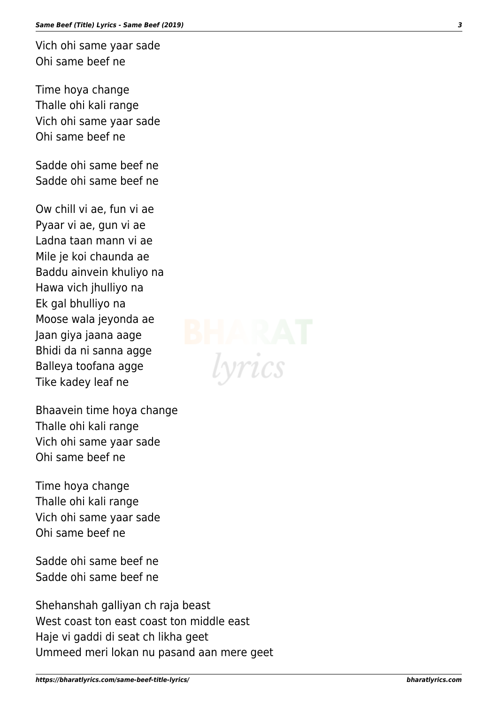Vich ohi same yaar sade Ohi same beef ne

Time hoya change Thalle ohi kali range Vich ohi same yaar sade Ohi same beef ne

Sadde ohi same beef ne Sadde ohi same beef ne

Ow chill vi ae, fun vi ae Pyaar vi ae, gun vi ae Ladna taan mann vi ae Mile je koi chaunda ae Baddu ainvein khuliyo na Hawa vich jhulliyo na Ek gal bhulliyo na Moose wala jeyonda ae Jaan giya jaana aage Bhidi da ni sanna agge Balleya toofana agge Tike kadey leaf ne

Bhaavein time hoya change Thalle ohi kali range Vich ohi same yaar sade Ohi same beef ne

Time hoya change Thalle ohi kali range Vich ohi same yaar sade Ohi same beef ne

Sadde ohi same beef ne Sadde ohi same beef ne

Shehanshah galliyan ch raja beast West coast ton east coast ton middle east Haje vi gaddi di seat ch likha geet Ummeed meri lokan nu pasand aan mere geet

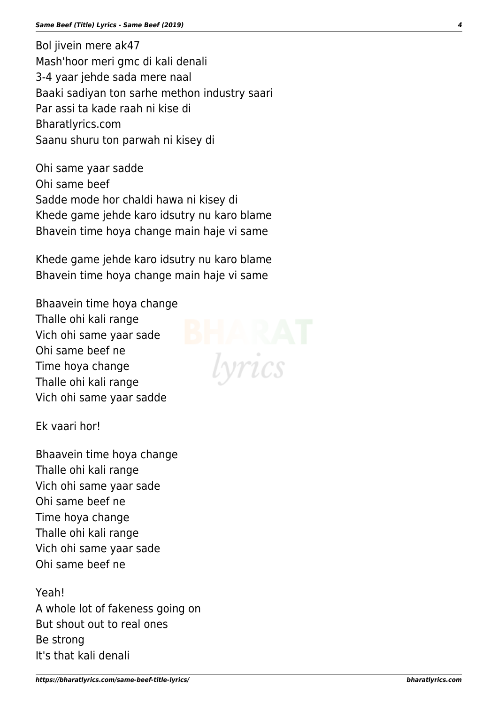Bol jivein mere ak47 Mash'hoor meri gmc di kali denali 3-4 yaar jehde sada mere naal Baaki sadiyan ton sarhe methon industry saari Par assi ta kade raah ni kise di Bharatlyrics.com Saanu shuru ton parwah ni kisey di

Ohi same yaar sadde Ohi same beef Sadde mode hor chaldi hawa ni kisey di Khede game jehde karo idsutry nu karo blame Bhavein time hoya change main haje vi same

Khede game jehde karo idsutry nu karo blame Bhavein time hoya change main haje vi same

vrics

Bhaavein time hoya change Thalle ohi kali range Vich ohi same yaar sade Ohi same beef ne Time hoya change Thalle ohi kali range Vich ohi same yaar sadde

Ek vaari hor!

Bhaavein time hoya change Thalle ohi kali range Vich ohi same yaar sade Ohi same beef ne Time hoya change Thalle ohi kali range Vich ohi same yaar sade Ohi same beef ne

Yeah! A whole lot of fakeness going on But shout out to real ones Be strong It's that kali denali